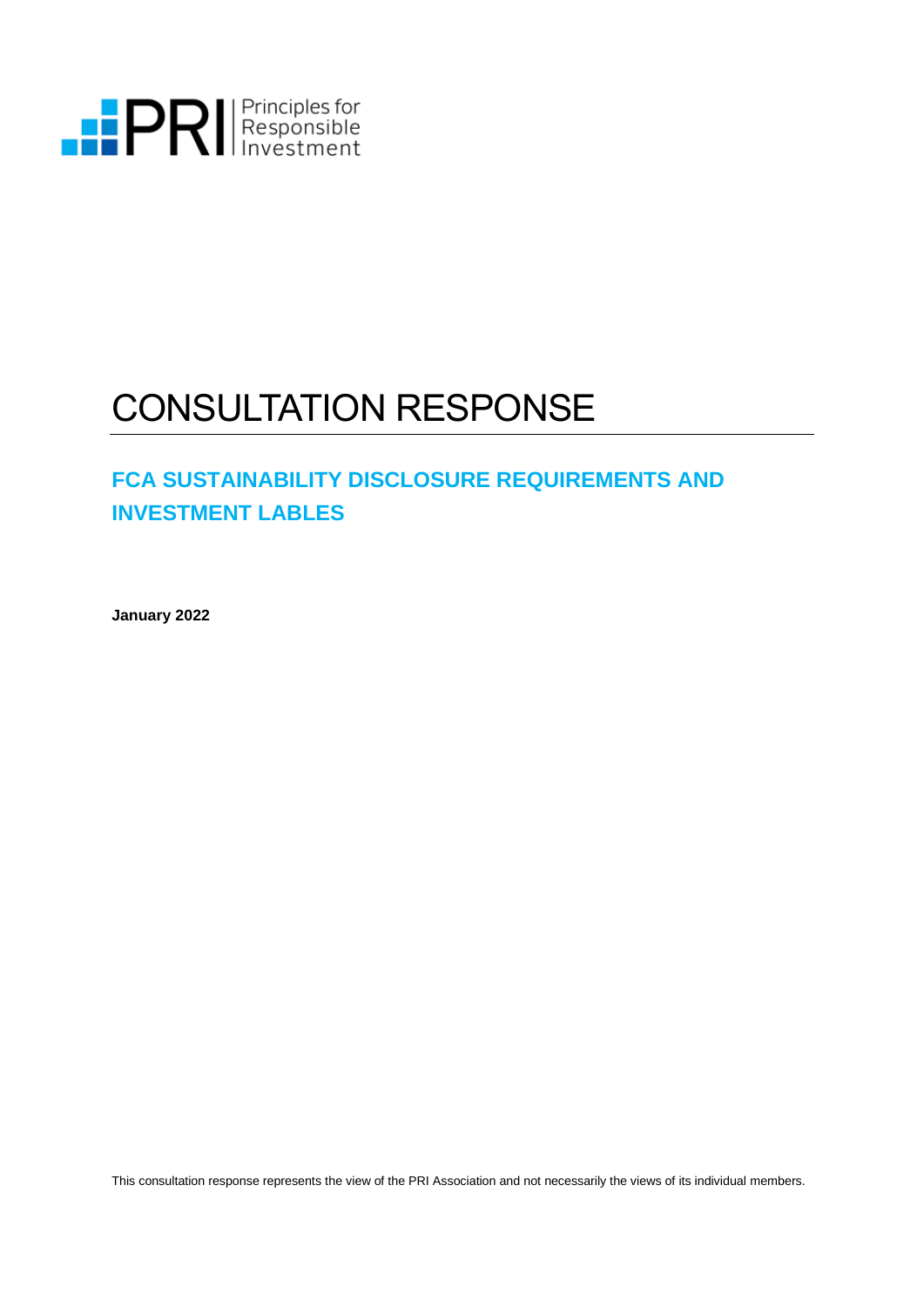

# CONSULTATION RESPONSE

## **FCA SUSTAINABILITY DISCLOSURE REQUIREMENTS AND INVESTMENT LABLES**

**January 2022**

This consultation response represents the view of the PRI Association and not necessarily the views of its individual members.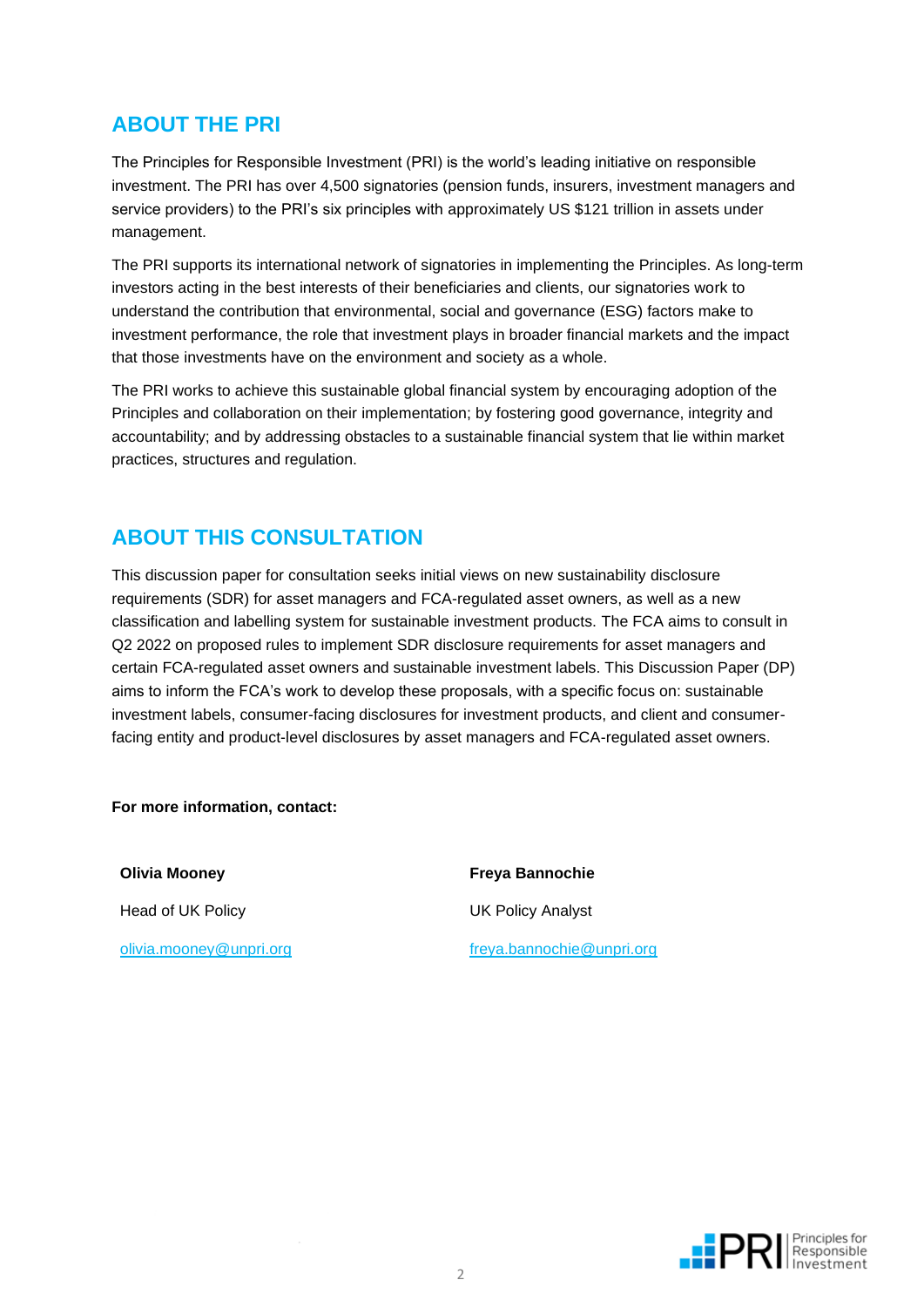## **ABOUT THE PRI**

The Principles for Responsible Investment (PRI) is the world's leading initiative on responsible investment. The PRI has over 4,500 signatories (pension funds, insurers, investment managers and service providers) to the PRI's six principles with approximately US \$121 trillion in assets under management.

The PRI supports its international network of signatories in implementing the Principles. As long-term investors acting in the best interests of their beneficiaries and clients, our signatories work to understand the contribution that environmental, social and governance (ESG) factors make to investment performance, the role that investment plays in broader financial markets and the impact that those investments have on the environment and society as a whole.

The PRI works to achieve this sustainable global financial system by encouraging adoption of the Principles and collaboration on their implementation; by fostering good governance, integrity and accountability; and by addressing obstacles to a sustainable financial system that lie within market practices, structures and regulation.

### **ABOUT THIS CONSULTATION**

This discussion paper for consultation seeks initial views on new sustainability disclosure requirements (SDR) for asset managers and FCA-regulated asset owners, as well as a new classification and labelling system for sustainable investment products. The FCA aims to consult in Q2 2022 on proposed rules to implement SDR disclosure requirements for asset managers and certain FCA-regulated asset owners and sustainable investment labels. This Discussion Paper (DP) aims to inform the FCA's work to develop these proposals, with a specific focus on: sustainable investment labels, consumer-facing disclosures for investment products, and client and consumerfacing entity and product-level disclosures by asset managers and FCA-regulated asset owners.

**For more information, contact:**

**Olivia Mooney Freya Bannochie** Head of UK Policy **Network** UK Policy Analyst

[olivia.mooney@unpri.org](mailto:olivia.mooney@unpri.org) [freya.bannochie@unpri.org](mailto:freya.bannochie@unpri.org)

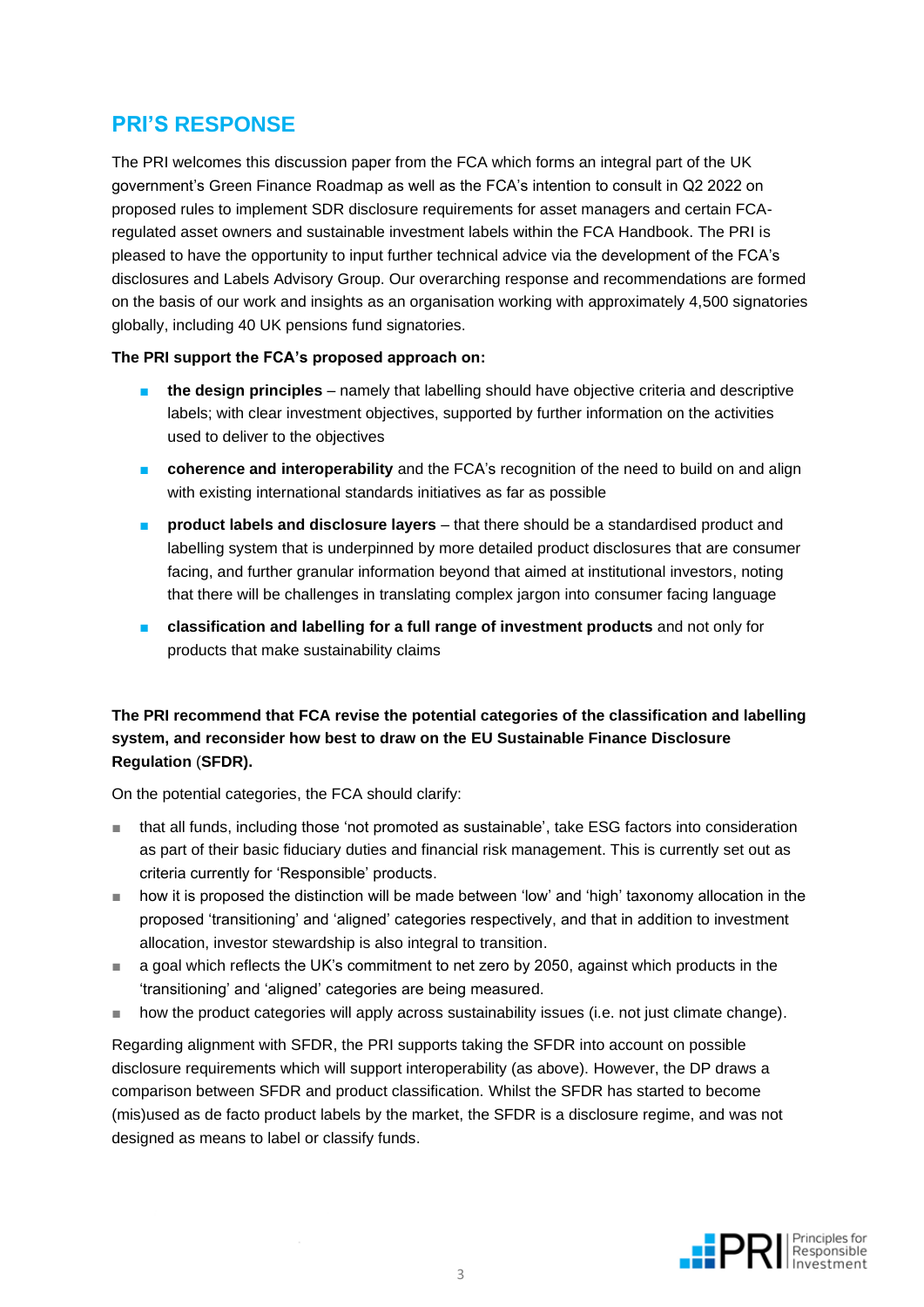### **PRI'S RESPONSE**

The PRI welcomes this discussion paper from the FCA which forms an integral part of the UK government's Green Finance Roadmap as well as the FCA's intention to consult in Q2 2022 on proposed rules to implement SDR disclosure requirements for asset managers and certain FCAregulated asset owners and sustainable investment labels within the FCA Handbook. The PRI is pleased to have the opportunity to input further technical advice via the development of the FCA's disclosures and Labels Advisory Group. Our overarching response and recommendations are formed on the basis of our work and insights as an organisation working with approximately 4,500 signatories globally, including 40 UK pensions fund signatories.

#### **The PRI support the FCA's proposed approach on:**

- **the design principles** namely that labelling should have objective criteria and descriptive labels; with clear investment objectives, supported by further information on the activities used to deliver to the objectives
- **coherence and interoperability** and the FCA's recognition of the need to build on and align with existing international standards initiatives as far as possible
- **product labels and disclosure layers** that there should be a standardised product and labelling system that is underpinned by more detailed product disclosures that are consumer facing, and further granular information beyond that aimed at institutional investors, noting that there will be challenges in translating complex jargon into consumer facing language
- **classification and labelling for a full range of investment products** and not only for products that make sustainability claims

#### **The PRI recommend that FCA revise the potential categories of the classification and labelling system, and reconsider how best to draw on the EU Sustainable Finance Disclosure Regulation** (**SFDR).**

On the potential categories, the FCA should clarify:

- that all funds, including those 'not promoted as sustainable', take ESG factors into consideration as part of their basic fiduciary duties and financial risk management. This is currently set out as criteria currently for 'Responsible' products.
- how it is proposed the distinction will be made between 'low' and 'high' taxonomy allocation in the proposed 'transitioning' and 'aligned' categories respectively, and that in addition to investment allocation, investor stewardship is also integral to transition.
- a goal which reflects the UK's commitment to net zero by 2050, against which products in the 'transitioning' and 'aligned' categories are being measured.
- how the product categories will apply across sustainability issues (i.e. not just climate change).

Regarding alignment with SFDR, the PRI supports taking the SFDR into account on possible disclosure requirements which will support interoperability (as above). However, the DP draws a comparison between SFDR and product classification. Whilst the SFDR has started to become (mis)used as de facto product labels by the market, the SFDR is a disclosure regime, and was not designed as means to label or classify funds.